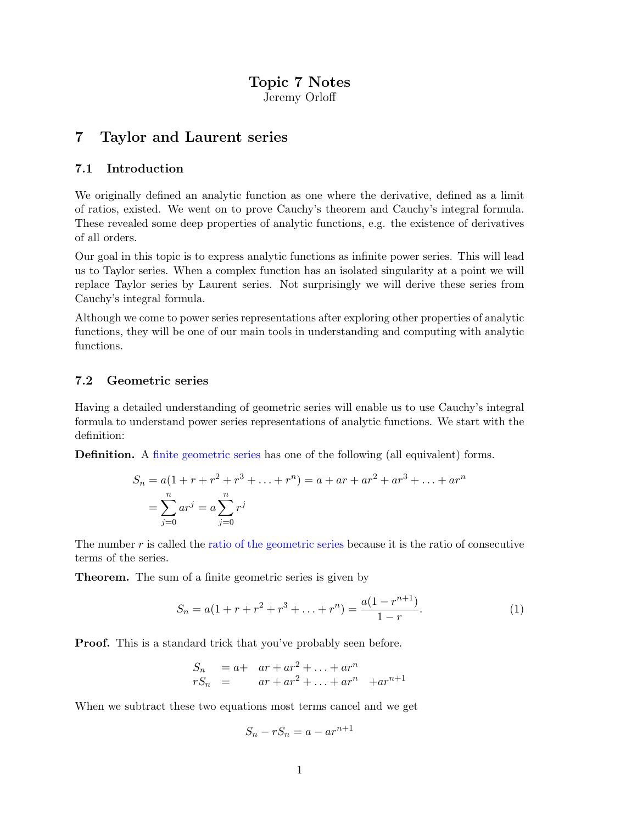## Topic 7 Notes Jeremy Orloff

# 7 Taylor and Laurent series

## 7.1 Introduction

We originally defined an analytic function as one where the derivative, defined as a limit of ratios, existed. We went on to prove Cauchy's theorem and Cauchy's integral formula. These revealed some deep properties of analytic functions, e.g. the existence of derivatives of all orders.

Our goal in this topic is to express analytic functions as infinite power series. This will lead us to Taylor series. When a complex function has an isolated singularity at a point we will replace Taylor series by Laurent series. Not surprisingly we will derive these series from Cauchy's integral formula.

Although we come to power series representations after exploring other properties of analytic functions, they will be one of our main tools in understanding and computing with analytic functions.

## 7.2 Geometric series

Having a detailed understanding of geometric series will enable us to use Cauchy's integral formula to understand power series representations of analytic functions. We start with the definition:

Definition. A finite geometric series has one of the following (all equivalent) forms.

$$
S_n = a(1 + r + r^2 + r^3 + \dots + r^n) = a + ar + ar^2 + ar^3 + \dots + ar^n
$$
  
= 
$$
\sum_{j=0}^n ar^j = a \sum_{j=0}^n r^j
$$

The number  $r$  is called the ratio of the geometric series because it is the ratio of consecutive terms of the series.

Theorem. The sum of a finite geometric series is given by

$$
S_n = a(1 + r + r^2 + r^3 + \dots + r^n) = \frac{a(1 - r^{n+1})}{1 - r}.
$$
 (1)

Proof. This is a standard trick that you've probably seen before.

$$
S_n = a+ ar + ar2 + ... + arn
$$
  

$$
rS_n = ar + ar2 + ... + arn + arn+1
$$

When we subtract these two equations most terms cancel and we get

$$
S_n - rS_n = a - ar^{n+1}
$$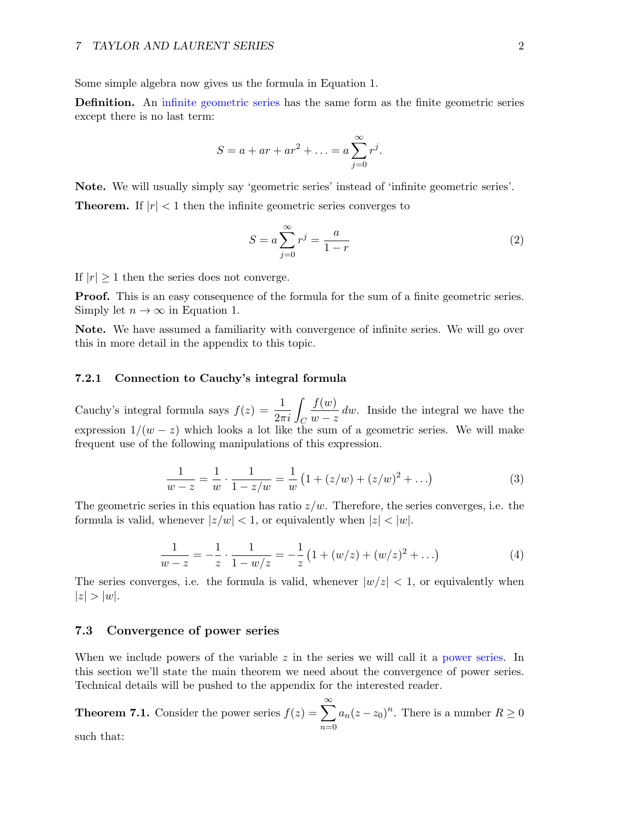Some simple algebra now gives us the formula in Equation 1.

Definition. An infinite geometric series has the same form as the finite geometric series except there is no last term:

$$
S = a + ar + ar2 + ... = a \sum_{j=0}^{\infty} rj.
$$

Note. We will usually simply say 'geometric series' instead of 'infinite geometric series'. **Theorem.** If  $|r| < 1$  then the infinite geometric series converges to

$$
S = a \sum_{j=0}^{\infty} r^j = \frac{a}{1-r}
$$
 (2)

If  $|r| \geq 1$  then the series does not converge.

**Proof.** This is an easy consequence of the formula for the sum of a finite geometric series. Simply let  $n \to \infty$  in Equation 1.

Note. We have assumed a familiarity with convergence of infinite series. We will go over this in more detail in the appendix to this topic.

#### 7.2.1 Connection to Cauchy's integral formula

Cauchy's integral formula says  $f(z) = \frac{1}{2\pi i} \int_C$  $f(w)$  $\frac{\partial (w)}{\partial w - z}$  dw. Inside the integral we have the expression  $1/(w-z)$  which looks a lot like the sum of a geometric series. We will make frequent use of the following manipulations of this expression.

$$
\frac{1}{w-z} = \frac{1}{w} \cdot \frac{1}{1-z/w} = \frac{1}{w} \left( 1 + (z/w) + (z/w)^2 + \ldots \right)
$$
 (3)

The geometric series in this equation has ratio  $z/w$ . Therefore, the series converges, i.e. the formula is valid, whenever  $|z/w| < 1$ , or equivalently when  $|z| < |w|$ .

$$
\frac{1}{w-z} = -\frac{1}{z} \cdot \frac{1}{1-w/z} = -\frac{1}{z} \left( 1 + (w/z) + (w/z)^2 + \ldots \right) \tag{4}
$$

The series converges, i.e. the formula is valid, whenever  $|w/z| < 1$ , or equivalently when  $|z| > |w|$ .

### 7.3 Convergence of power series

When we include powers of the variable z in the series we will call it a power series. In this section we'll state the main theorem we need about the convergence of power series. Technical details will be pushed to the appendix for the interested reader.

**Theorem 7.1.** Consider the power series  $f(z) = \sum_{n=0}^{\infty}$  $n=0$  $a_n(z-z_0)^n$ . There is a number  $R \geq 0$ such that: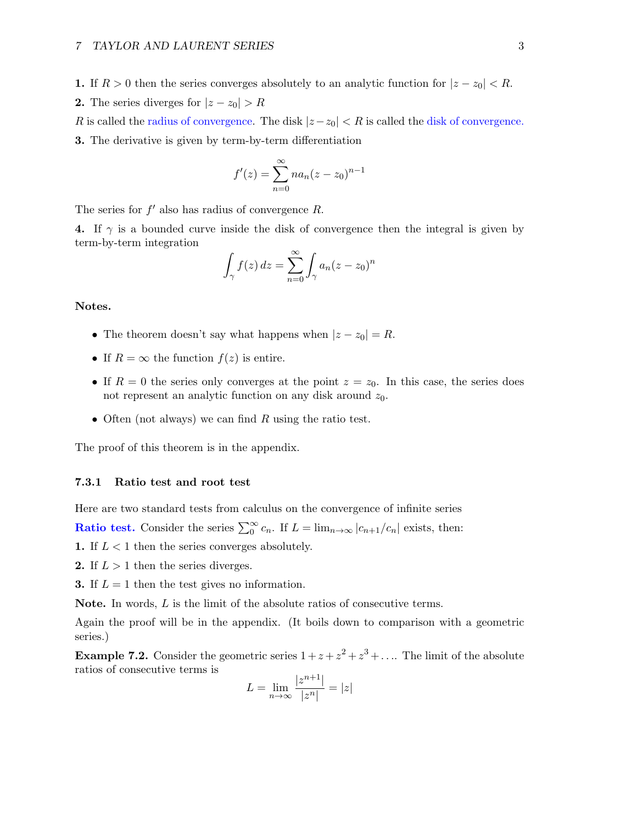1. If  $R > 0$  then the series converges absolutely to an analytic function for  $|z - z_0| < R$ . 2. The series diverges for  $|z - z_0| > R$ 

R is called the radius of convergence. The disk  $|z-z_0| < R$  is called the disk of convergence. 3. The derivative is given by term-by-term differentiation

$$
f'(z) = \sum_{n=0}^{\infty} n a_n (z - z_0)^{n-1}
$$

The series for  $f'$  also has radius of convergence  $R$ .

4. If  $\gamma$  is a bounded curve inside the disk of convergence then the integral is given by term-by-term integration

$$
\int_{\gamma} f(z) dz = \sum_{n=0}^{\infty} \int_{\gamma} a_n (z - z_0)^n
$$

Notes.

- The theorem doesn't say what happens when  $|z z_0| = R$ .
- If  $R = \infty$  the function  $f(z)$  is entire.
- If  $R = 0$  the series only converges at the point  $z = z_0$ . In this case, the series does not represent an analytic function on any disk around  $z_0$ .
- Often (not always) we can find R using the ratio test.

The proof of this theorem is in the appendix.

#### 7.3.1 Ratio test and root test

Here are two standard tests from calculus on the convergence of infinite series

**Ratio test.** Consider the series  $\sum_{n=0}^{\infty} c_n$ . If  $L = \lim_{n \to \infty} |c_{n+1}/c_n|$  exists, then:

1. If  $L < 1$  then the series converges absolutely.

**2.** If  $L > 1$  then the series diverges.

**3.** If  $L = 1$  then the test gives no information.

Note. In words, L is the limit of the absolute ratios of consecutive terms.

Again the proof will be in the appendix. (It boils down to comparison with a geometric series.)

**Example 7.2.** Consider the geometric series  $1 + z + z^2 + z^3 + \dots$  The limit of the absolute ratios of consecutive terms is

$$
L=\lim_{n\to\infty}\frac{|z^{n+1}|}{|z^n|}=|z|
$$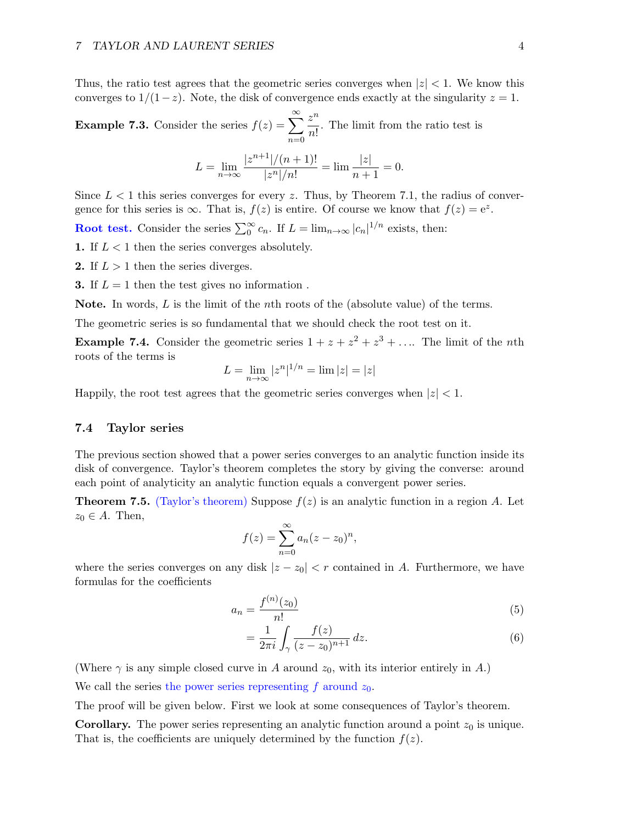Thus, the ratio test agrees that the geometric series converges when  $|z| < 1$ . We know this converges to  $1/(1-z)$ . Note, the disk of convergence ends exactly at the singularity  $z = 1$ .

**Example 7.3.** Consider the series 
$$
f(z) = \sum_{n=0}^{\infty} \frac{z^n}{n!}
$$
. The limit from the ratio test is

$$
L = \lim_{n \to \infty} \frac{|z^{n+1}|/(n+1)!}{|z^n|/n!} = \lim \frac{|z|}{n+1} = 0.
$$

Since  $L < 1$  this series converges for every z. Thus, by Theorem 7.1, the radius of convergence for this series is  $\infty$ . That is,  $f(z)$  is entire. Of course we know that  $f(z) = e^z$ .

**Root test.** Consider the series  $\sum_{n=0}^{\infty} c_n$ . If  $L = \lim_{n \to \infty} |c_n|^{1/n}$  exists, then:

1. If  $L < 1$  then the series converges absolutely.

**2.** If  $L > 1$  then the series diverges.

**3.** If  $L = 1$  then the test gives no information.

**Note.** In words,  $L$  is the limit of the *n*th roots of the (absolute value) of the terms.

The geometric series is so fundamental that we should check the root test on it.

**Example 7.4.** Consider the geometric series  $1 + z + z^2 + z^3 + \dots$  The limit of the *n*th roots of the terms is

$$
L = \lim_{n \to \infty} |z^n|^{1/n} = \lim |z| = |z|
$$

Happily, the root test agrees that the geometric series converges when  $|z| < 1$ .

### 7.4 Taylor series

The previous section showed that a power series converges to an analytic function inside its disk of convergence. Taylor's theorem completes the story by giving the converse: around each point of analyticity an analytic function equals a convergent power series.

**Theorem 7.5.** (Taylor's theorem) Suppose  $f(z)$  is an analytic function in a region A. Let  $z_0 \in A$ . Then,

$$
f(z) = \sum_{n=0}^{\infty} a_n (z - z_0)^n,
$$

where the series converges on any disk  $|z - z_0| < r$  contained in A. Furthermore, we have formulas for the coefficients

$$
a_n = \frac{f^{(n)}(z_0)}{n!}
$$
 (5)

$$
=\frac{1}{2\pi i}\int_{\gamma}\frac{f(z)}{(z-z_0)^{n+1}}\,dz.\tag{6}
$$

(Where  $\gamma$  is any simple closed curve in A around  $z_0$ , with its interior entirely in A.)

We call the series the power series representing f around  $z_0$ .

The proof will be given below. First we look at some consequences of Taylor's theorem.

**Corollary.** The power series representing an analytic function around a point  $z_0$  is unique. That is, the coefficients are uniquely determined by the function  $f(z)$ .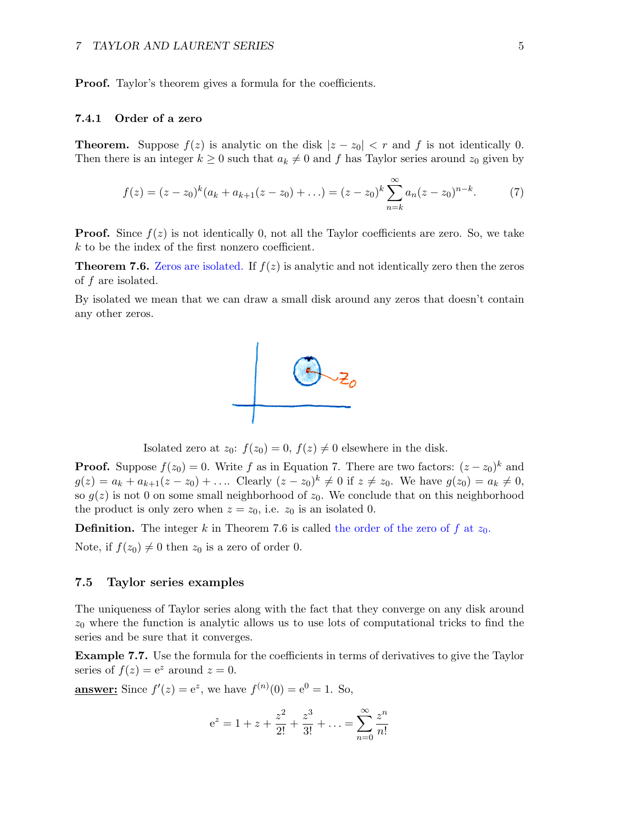Proof. Taylor's theorem gives a formula for the coefficients.

#### 7.4.1 Order of a zero

**Theorem.** Suppose  $f(z)$  is analytic on the disk  $|z - z_0| < r$  and f is not identically 0. Then there is an integer  $k \geq 0$  such that  $a_k \neq 0$  and f has Taylor series around  $z_0$  given by

$$
f(z) = (z - z_0)^k (a_k + a_{k+1}(z - z_0) + \ldots) = (z - z_0)^k \sum_{n=k}^{\infty} a_n (z - z_0)^{n-k}.
$$
 (7)

**Proof.** Since  $f(z)$  is not identically 0, not all the Taylor coefficients are zero. So, we take k to be the index of the first nonzero coefficient.

**Theorem 7.6.** Zeros are isolated. If  $f(z)$  is analytic and not identically zero then the zeros of f are isolated.

By isolated we mean that we can draw a small disk around any zeros that doesn't contain any other zeros.



Isolated zero at  $z_0$ :  $f(z_0) = 0$ ,  $f(z) \neq 0$  elsewhere in the disk.

**Proof.** Suppose  $f(z_0) = 0$ . Write f as in Equation 7. There are two factors:  $(z - z_0)^k$  and  $g(z) = a_k + a_{k+1}(z - z_0) + \dots$  Clearly  $(z - z_0)^k \neq 0$  if  $z \neq z_0$ . We have  $g(z_0) = a_k \neq 0$ , so  $g(z)$  is not 0 on some small neighborhood of  $z_0$ . We conclude that on this neighborhood the product is only zero when  $z = z_0$ , i.e.  $z_0$  is an isolated 0.

**Definition.** The integer k in Theorem 7.6 is called the order of the zero of f at  $z_0$ .

Note, if  $f(z_0) \neq 0$  then  $z_0$  is a zero of order 0.

#### 7.5 Taylor series examples

The uniqueness of Taylor series along with the fact that they converge on any disk around  $z_0$  where the function is analytic allows us to use lots of computational tricks to find the series and be sure that it converges.

Example 7.7. Use the formula for the coefficients in terms of derivatives to give the Taylor series of  $f(z) = e^z$  around  $z = 0$ .

**<u>answer:**</u> Since  $f'(z) = e^z$ , we have  $f^{(n)}(0) = e^0 = 1$ . So,

$$
e^{z} = 1 + z + \frac{z^{2}}{2!} + \frac{z^{3}}{3!} + \dots = \sum_{n=0}^{\infty} \frac{z^{n}}{n!}
$$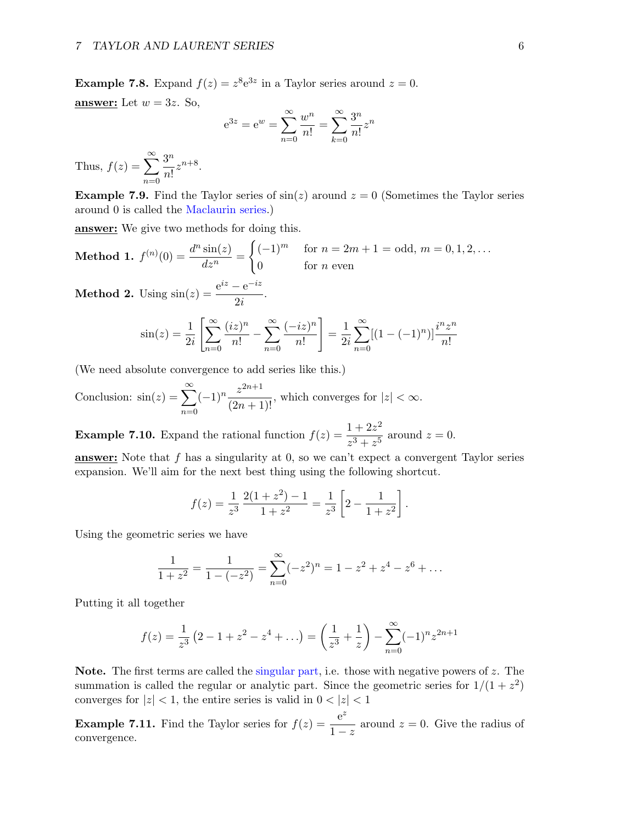**Example 7.8.** Expand  $f(z) = z^8 e^{3z}$  in a Taylor series around  $z = 0$ . answer: Let  $w = 3z$ . So,

$$
e^{3z} = e^w = \sum_{n=0}^{\infty} \frac{w^n}{n!} = \sum_{k=0}^{\infty} \frac{3^n}{n!} z^n
$$

Thus,  $f(z) = \sum_{n=0}^{\infty}$  $n=0$  $3^n$  $\frac{3}{n!}z^{n+8}.$ 

**Example 7.9.** Find the Taylor series of  $sin(z)$  around  $z = 0$  (Sometimes the Taylor series around 0 is called the Maclaurin series.)

**answer:** We give two methods for doing this.

**Method 1.** 
$$
f^{(n)}(0) = \frac{d^n \sin(z)}{dz^n} = \begin{cases} (-1)^m & \text{for } n = 2m + 1 = \text{odd}, m = 0, 1, 2, \dots \\ 0 & \text{for } n \text{ even} \end{cases}
$$

**Method 2.** Using  $\sin(z) = \frac{e^{iz} - e^{-iz}}{2i}$  $\frac{c}{2i}$ .

$$
\sin(z) = \frac{1}{2i} \left[ \sum_{n=0}^{\infty} \frac{(iz)^n}{n!} - \sum_{n=0}^{\infty} \frac{(-iz)^n}{n!} \right] = \frac{1}{2i} \sum_{n=0}^{\infty} [(1 - (-1)^n)] \frac{i^n z^n}{n!}
$$

(We need absolute convergence to add series like this.)

Conclusion: 
$$
\sin(z) = \sum_{n=0}^{\infty} (-1)^n \frac{z^{2n+1}}{(2n+1)!}
$$
, which converges for  $|z| < \infty$ .

**Example 7.10.** Expand the rational function  $f(z) = \frac{1 + 2z^2}{z-1}$  $\frac{1}{z^3 + z^5}$  around  $z = 0$ .

answer: Note that f has a singularity at 0, so we can't expect a convergent Taylor series expansion. We'll aim for the next best thing using the following shortcut.

$$
f(z) = \frac{1}{z^3} \frac{2(1+z^2) - 1}{1+z^2} = \frac{1}{z^3} \left[ 2 - \frac{1}{1+z^2} \right].
$$

Using the geometric series we have

$$
\frac{1}{1+z^2} = \frac{1}{1-(-z^2)} = \sum_{n=0}^{\infty} (-z^2)^n = 1 - z^2 + z^4 - z^6 + \dots
$$

Putting it all together

$$
f(z) = \frac{1}{z^3} (2 - 1 + z^2 - z^4 + ...) = \left(\frac{1}{z^3} + \frac{1}{z}\right) - \sum_{n=0}^{\infty} (-1)^n z^{2n+1}
$$

Note. The first terms are called the singular part, i.e. those with negative powers of  $z$ . The summation is called the regular or analytic part. Since the geometric series for  $1/(1+z^2)$ converges for  $|z| < 1$ , the entire series is valid in  $0 < |z| < 1$ 

**Example 7.11.** Find the Taylor series for  $f(z) = \frac{e^z}{z}$  $\frac{c}{1-z}$  around  $z=0$ . Give the radius of convergence.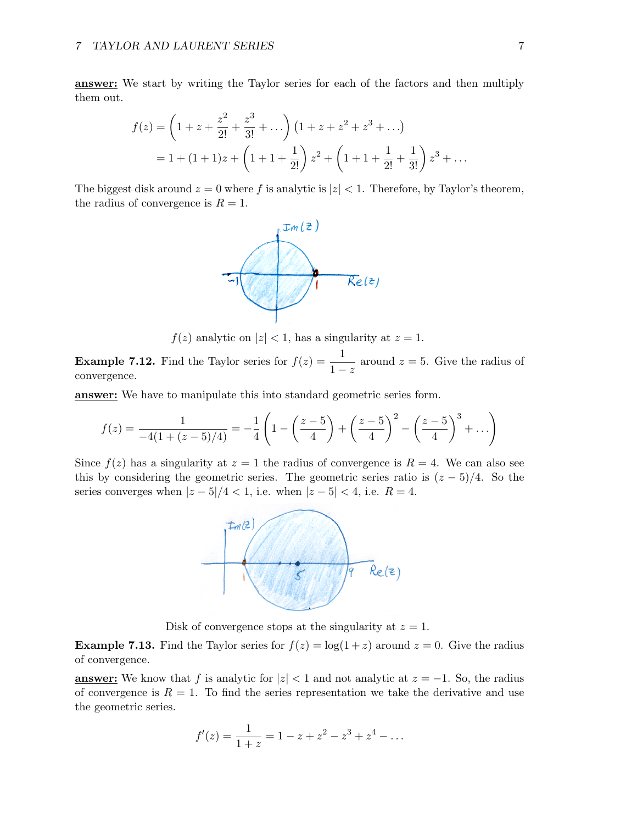answer: We start by writing the Taylor series for each of the factors and then multiply them out.

$$
f(z) = \left(1 + z + \frac{z^2}{2!} + \frac{z^3}{3!} + \dots\right) \left(1 + z + z^2 + z^3 + \dots\right)
$$
  
= 1 + (1 + 1)z + \left(1 + 1 + \frac{1}{2!}\right)z^2 + \left(1 + 1 + \frac{1}{2!} + \frac{1}{3!}\right)z^3 + \dots

The biggest disk around  $z = 0$  where f is analytic is  $|z| < 1$ . Therefore, by Taylor's theorem, the radius of convergence is  $R = 1$ .



 $f(z)$  analytic on  $|z| < 1$ , has a singularity at  $z = 1$ .

**Example 7.12.** Find the Taylor series for  $f(z) = \frac{1}{1-z}$  around  $z = 5$ . Give the radius of convergence.

answer: We have to manipulate this into standard geometric series form.

$$
f(z) = \frac{1}{-4(1 + (z - 5)/4)} = -\frac{1}{4}\left(1 - \left(\frac{z - 5}{4}\right) + \left(\frac{z - 5}{4}\right)^2 - \left(\frac{z - 5}{4}\right)^3 + \dots\right)
$$

Since  $f(z)$  has a singularity at  $z = 1$  the radius of convergence is  $R = 4$ . We can also see this by considering the geometric series. The geometric series ratio is  $(z - 5)/4$ . So the series converges when  $|z-5|/4 < 1$ , i.e. when  $|z-5| < 4$ , i.e.  $R = 4$ .



Disk of convergence stops at the singularity at  $z = 1$ .

**Example 7.13.** Find the Taylor series for  $f(z) = \log(1+z)$  around  $z = 0$ . Give the radius of convergence.

**answer:** We know that f is analytic for  $|z| < 1$  and not analytic at  $z = -1$ . So, the radius of convergence is  $R = 1$ . To find the series representation we take the derivative and use the geometric series.

$$
f'(z) = \frac{1}{1+z} = 1 - z + z^2 - z^3 + z^4 - \dots
$$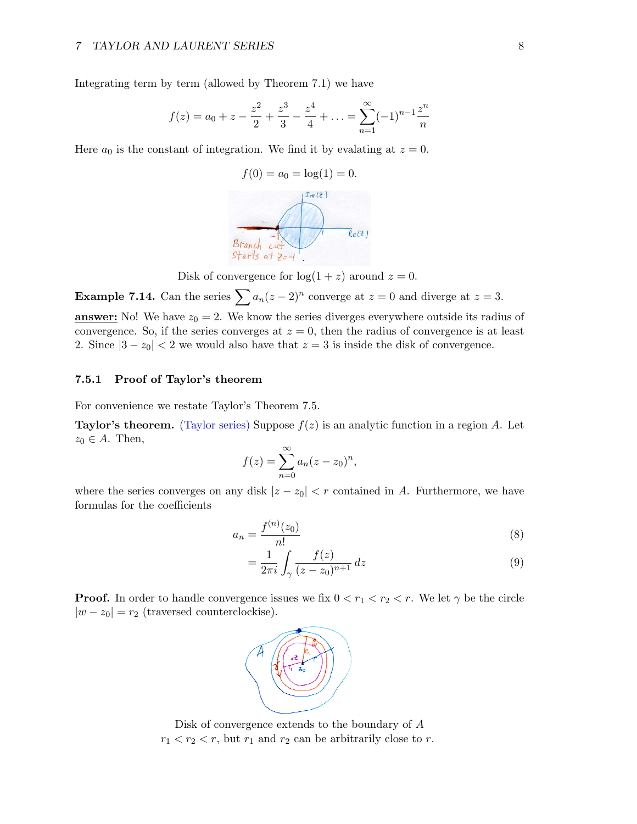Integrating term by term (allowed by Theorem 7.1) we have

$$
f(z) = a_0 + z - \frac{z^2}{2} + \frac{z^3}{3} - \frac{z^4}{4} + \dots = \sum_{n=1}^{\infty} (-1)^{n-1} \frac{z^n}{n}
$$

Here  $a_0$  is the constant of integration. We find it by evalating at  $z = 0$ .



Disk of convergence for  $log(1 + z)$  around  $z = 0$ .

**Example 7.14.** Can the series  $\sum a_n(z-2)^n$  converge at  $z=0$  and diverge at  $z=3$ . **answer:** No! We have  $z_0 = 2$ . We know the series diverges everywhere outside its radius of convergence. So, if the series converges at  $z = 0$ , then the radius of convergence is at least 2. Since  $|3 - z_0| < 2$  we would also have that  $z = 3$  is inside the disk of convergence.

### 7.5.1 Proof of Taylor's theorem

For convenience we restate Taylor's Theorem 7.5.

**Taylor's theorem.** (Taylor series) Suppose  $f(z)$  is an analytic function in a region A. Let  $z_0 \in A$ . Then,

$$
f(z) = \sum_{n=0}^{\infty} a_n (z - z_0)^n,
$$

where the series converges on any disk  $|z - z_0| < r$  contained in A. Furthermore, we have formulas for the coefficients

$$
a_n = \frac{f^{(n)}(z_0)}{n!}
$$
 (8)

$$
= \frac{1}{2\pi i} \int_{\gamma} \frac{f(z)}{(z - z_0)^{n+1}} dz
$$
\n(9)

**Proof.** In order to handle convergence issues we fix  $0 < r_1 < r_2 < r$ . We let  $\gamma$  be the circle  $|w - z_0| = r_2$  (traversed counterclockise).



Disk of convergence extends to the boundary of A  $r_1 < r_2 < r$ , but  $r_1$  and  $r_2$  can be arbitrarily close to r.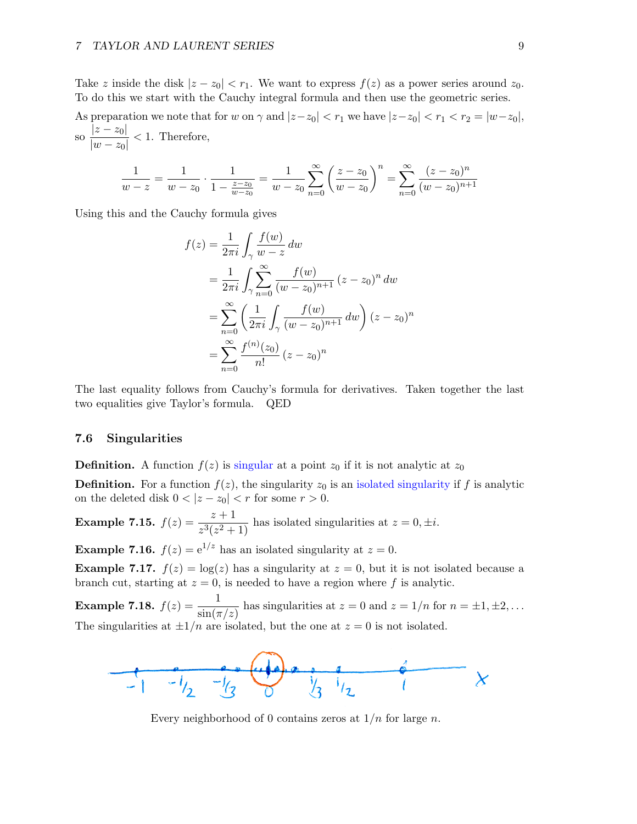Take z inside the disk  $|z - z_0| < r_1$ . We want to express  $f(z)$  as a power series around  $z_0$ . To do this we start with the Cauchy integral formula and then use the geometric series.

As preparation we note that for w on  $\gamma$  and  $|z-z_0| < r_1$  we have  $|z-z_0| < r_1 < r_2 = |w-z_0|$ , so  $\frac{|z-z_0|}{\sqrt{z-z_0}}$  $\frac{|z - z_0|}{|w - z_0|} < 1$ . Therefore,

$$
\frac{1}{w-z} = \frac{1}{w-z_0} \cdot \frac{1}{1-\frac{z-z_0}{w-z_0}} = \frac{1}{w-z_0} \sum_{n=0}^{\infty} \left(\frac{z-z_0}{w-z_0}\right)^n = \sum_{n=0}^{\infty} \frac{(z-z_0)^n}{(w-z_0)^{n+1}}
$$

Using this and the Cauchy formula gives

$$
f(z) = \frac{1}{2\pi i} \int_{\gamma} \frac{f(w)}{w - z} dw
$$
  
=  $\frac{1}{2\pi i} \int_{\gamma} \sum_{n=0}^{\infty} \frac{f(w)}{(w - z_0)^{n+1}} (z - z_0)^n dw$   
=  $\sum_{n=0}^{\infty} \left( \frac{1}{2\pi i} \int_{\gamma} \frac{f(w)}{(w - z_0)^{n+1}} dw \right) (z - z_0)^n$   
=  $\sum_{n=0}^{\infty} \frac{f^{(n)}(z_0)}{n!} (z - z_0)^n$ 

The last equality follows from Cauchy's formula for derivatives. Taken together the last two equalities give Taylor's formula. QED

#### 7.6 Singularities

**Definition.** A function  $f(z)$  is singular at a point  $z_0$  if it is not analytic at  $z_0$ 

**Definition.** For a function  $f(z)$ , the singularity  $z_0$  is an isolated singularity if f is analytic on the deleted disk  $0 < |z - z_0| < r$  for some  $r > 0$ .

**Example 7.15.**  $f(z) = \frac{z+1}{z^3(z^2+1)}$  has isolated singularities at  $z = 0, \pm i$ .

**Example 7.16.**  $f(z) = e^{1/z}$  has an isolated singularity at  $z = 0$ .

**Example 7.17.**  $f(z) = \log(z)$  has a singularity at  $z = 0$ , but it is not isolated because a branch cut, starting at  $z = 0$ , is needed to have a region where f is analytic.

**Example 7.18.**  $f(z) = \frac{1}{\sin(\pi/z)}$  has singularities at  $z = 0$  and  $z = 1/n$  for  $n = \pm 1, \pm 2, \ldots$ The singularities at  $\pm 1/n$  are isolated, but the one at  $z = 0$  is not isolated.



Every neighborhood of 0 contains zeros at  $1/n$  for large n.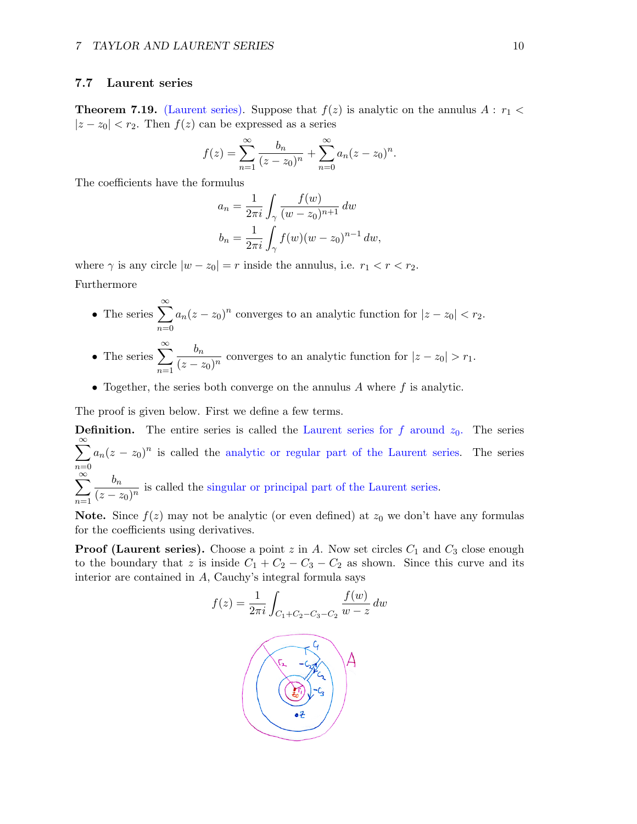### 7.7 Laurent series

 $n=1$ 

**Theorem 7.19.** (Laurent series). Suppose that  $f(z)$  is analytic on the annulus  $A : r_1 <$  $|z - z_0| < r_2$ . Then  $f(z)$  can be expressed as a series

$$
f(z) = \sum_{n=1}^{\infty} \frac{b_n}{(z - z_0)^n} + \sum_{n=0}^{\infty} a_n (z - z_0)^n.
$$

The coefficients have the formulus

$$
a_n = \frac{1}{2\pi i} \int_{\gamma} \frac{f(w)}{(w - z_0)^{n+1}} dw
$$
  

$$
b_n = \frac{1}{2\pi i} \int_{\gamma} f(w) (w - z_0)^{n-1} dw,
$$

where  $\gamma$  is any circle  $|w - z_0| = r$  inside the annulus, i.e.  $r_1 < r < r_2$ . Furthermore

- The series  $\sum_{n=1}^{\infty}$  $n=0$  $a_n(z-z_0)^n$  converges to an analytic function for  $|z-z_0| < r_2$ .
- The series  $\sum_{n=1}^{\infty}$  $n=1$  $b_n$  $\frac{b_n}{(z-z_0)^n}$  converges to an analytic function for  $|z-z_0| > r_1$ .
- Together, the series both converge on the annulus  $A$  where  $f$  is analytic.

The proof is given below. First we define a few terms.

**Definition.** The entire series is called the Laurent series for f around  $z_0$ . The series  $\sum_{i=1}^{\infty}$  $n=0$  $a_n(z-z_0)^n$  is called the analytic or regular part of the Laurent series. The series  $\sum^{\infty}$  $b_n$  $\frac{b_n}{(z-z_0)^n}$  is called the singular or principal part of the Laurent series.

**Note.** Since  $f(z)$  may not be analytic (or even defined) at  $z_0$  we don't have any formulas for the coefficients using derivatives.

**Proof (Laurent series).** Choose a point  $z$  in  $A$ . Now set circles  $C_1$  and  $C_3$  close enough to the boundary that z is inside  $C_1 + C_2 - C_3 - C_2$  as shown. Since this curve and its interior are contained in A, Cauchy's integral formula says

$$
f(z) = \frac{1}{2\pi i} \int_{C_1 + C_2 - C_3 - C_2} \frac{f(w)}{w - z} dw
$$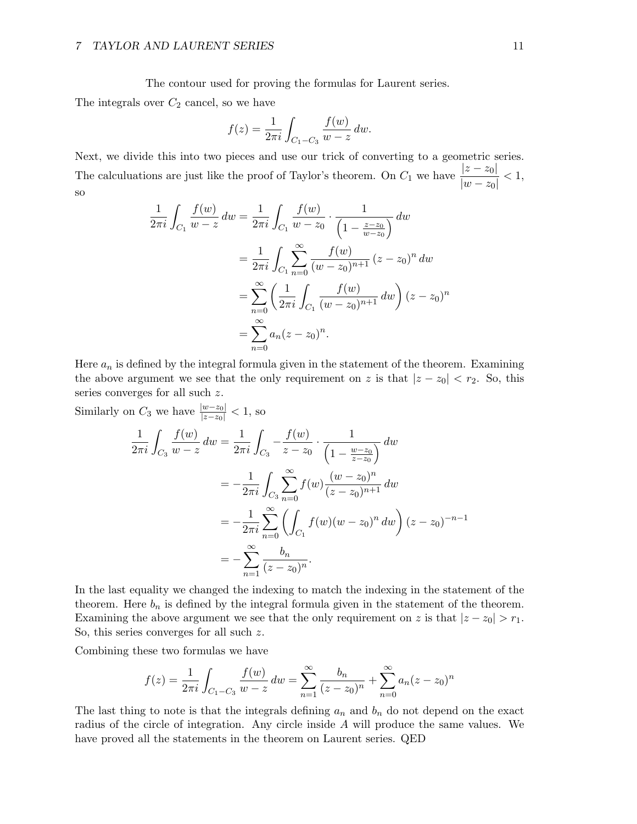The contour used for proving the formulas for Laurent series.

The integrals over  $C_2$  cancel, so we have

$$
f(z) = \frac{1}{2\pi i} \int_{C_1 - C_3} \frac{f(w)}{w - z} \, dw.
$$

Next, we divide this into two pieces and use our trick of converting to a geometric series. The calculuations are just like the proof of Taylor's theorem. On  $C_1$  we have  $\frac{|z - z_0|}{|w - z_0|} < 1$ , so

$$
\frac{1}{2\pi i} \int_{C_1} \frac{f(w)}{w - z} dw = \frac{1}{2\pi i} \int_{C_1} \frac{f(w)}{w - z_0} \cdot \frac{1}{\left(1 - \frac{z - z_0}{w - z_0}\right)} dw
$$

$$
= \frac{1}{2\pi i} \int_{C_1} \sum_{n=0}^{\infty} \frac{f(w)}{(w - z_0)^{n+1}} (z - z_0)^n dw
$$

$$
= \sum_{n=0}^{\infty} \left(\frac{1}{2\pi i} \int_{C_1} \frac{f(w)}{(w - z_0)^{n+1}} dw\right) (z - z_0)^n
$$

$$
= \sum_{n=0}^{\infty} a_n (z - z_0)^n.
$$

Here  $a_n$  is defined by the integral formula given in the statement of the theorem. Examining the above argument we see that the only requirement on z is that  $|z - z_0| < r_2$ . So, this series converges for all such z.

Similarly on  $C_3$  we have  $\frac{|w-z_0|}{|z-z_0|} < 1$ , so

$$
\frac{1}{2\pi i} \int_{C_3} \frac{f(w)}{w - z} dw = \frac{1}{2\pi i} \int_{C_3} -\frac{f(w)}{z - z_0} \cdot \frac{1}{\left(1 - \frac{w - z_0}{z - z_0}\right)} dw
$$

$$
= -\frac{1}{2\pi i} \int_{C_3} \sum_{n=0}^{\infty} f(w) \frac{(w - z_0)^n}{(z - z_0)^{n+1}} dw
$$

$$
= -\frac{1}{2\pi i} \sum_{n=0}^{\infty} \left( \int_{C_1} f(w) (w - z_0)^n dw \right) (z - z_0)^{-n-1}
$$

$$
= -\sum_{n=1}^{\infty} \frac{b_n}{(z - z_0)^n}.
$$

In the last equality we changed the indexing to match the indexing in the statement of the theorem. Here  $b_n$  is defined by the integral formula given in the statement of the theorem. Examining the above argument we see that the only requirement on z is that  $|z - z_0| > r_1$ . So, this series converges for all such z.

Combining these two formulas we have

$$
f(z) = \frac{1}{2\pi i} \int_{C_1 - C_3} \frac{f(w)}{w - z} dw = \sum_{n=1}^{\infty} \frac{b_n}{(z - z_0)^n} + \sum_{n=0}^{\infty} a_n (z - z_0)^n
$$

The last thing to note is that the integrals defining  $a_n$  and  $b_n$  do not depend on the exact radius of the circle of integration. Any circle inside A will produce the same values. We have proved all the statements in the theorem on Laurent series. QED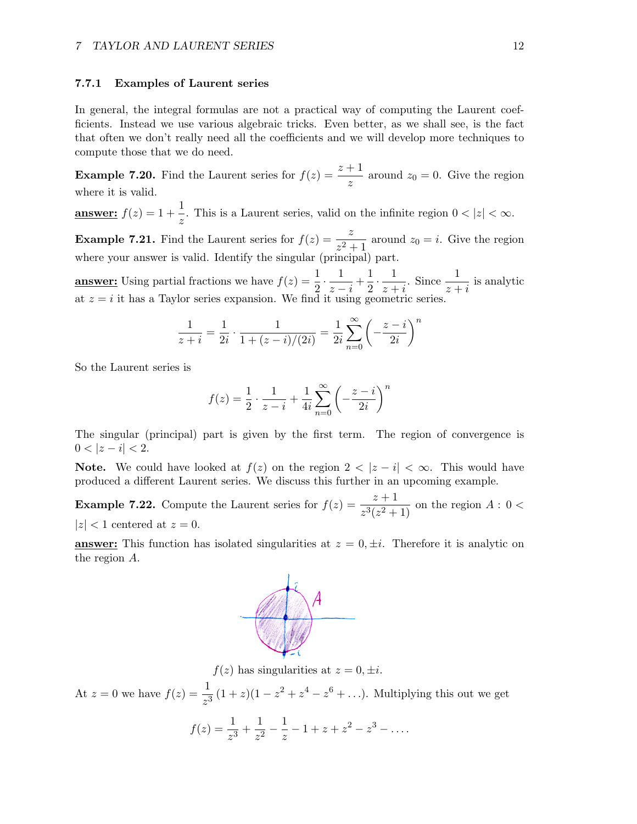#### 7.7.1 Examples of Laurent series

In general, the integral formulas are not a practical way of computing the Laurent coefficients. Instead we use various algebraic tricks. Even better, as we shall see, is the fact that often we don't really need all the coefficients and we will develop more techniques to compute those that we do need.

**Example 7.20.** Find the Laurent series for  $f(z) = \frac{z+1}{z}$  around  $z_0 = 0$ . Give the region where it is valid.

**answer:**  $f(z) = 1 + \frac{1}{z}$ . This is a Laurent series, valid on the infinite region  $0 < |z| < \infty$ .

**Example 7.21.** Find the Laurent series for  $f(z) = \frac{z}{z^2 + 1}$  around  $z_0 = i$ . Give the region where your answer is valid. Identify the singular (principal) part.

**answer:** Using partial fractions we have  $f(z) = \frac{1}{2} \cdot \frac{1}{z-1}$  $\frac{1}{z-i} + \frac{1}{2}$  $rac{1}{2} \cdot \frac{1}{z+1}$  $\frac{1}{z+i}$ . Since  $\frac{1}{z+i}$  is analytic at  $z = i$  it has a Taylor series expansion. We find it using geometric series.

$$
\frac{1}{z+i} = \frac{1}{2i} \cdot \frac{1}{1 + (z-i)/(2i)} = \frac{1}{2i} \sum_{n=0}^{\infty} \left( -\frac{z-i}{2i} \right)^n
$$

So the Laurent series is

$$
f(z) = \frac{1}{2} \cdot \frac{1}{z - i} + \frac{1}{4i} \sum_{n=0}^{\infty} \left( -\frac{z - i}{2i} \right)^n
$$

The singular (principal) part is given by the first term. The region of convergence is  $0 < |z - i| < 2.$ 

**Note.** We could have looked at  $f(z)$  on the region  $2 < |z - i| < \infty$ . This would have produced a different Laurent series. We discuss this further in an upcoming example.

**Example 7.22.** Compute the Laurent series for  $f(z) = \frac{z+1}{z^3(z^2+1)}$  on the region  $A: 0 <$  $|z|$  < 1 centered at  $z = 0$ .

**answer:** This function has isolated singularities at  $z = 0, \pm i$ . Therefore it is analytic on the region A.



 $f(z)$  has singularities at  $z = 0, \pm i$ .

At  $z = 0$  we have  $f(z) = \frac{1}{z^3} (1 + z)(1 - z^2 + z^4 - z^6 + ...)$ . Multiplying this out we get

$$
f(z) = \frac{1}{z^3} + \frac{1}{z^2} - \frac{1}{z} - 1 + z + z^2 - z^3 - \dots
$$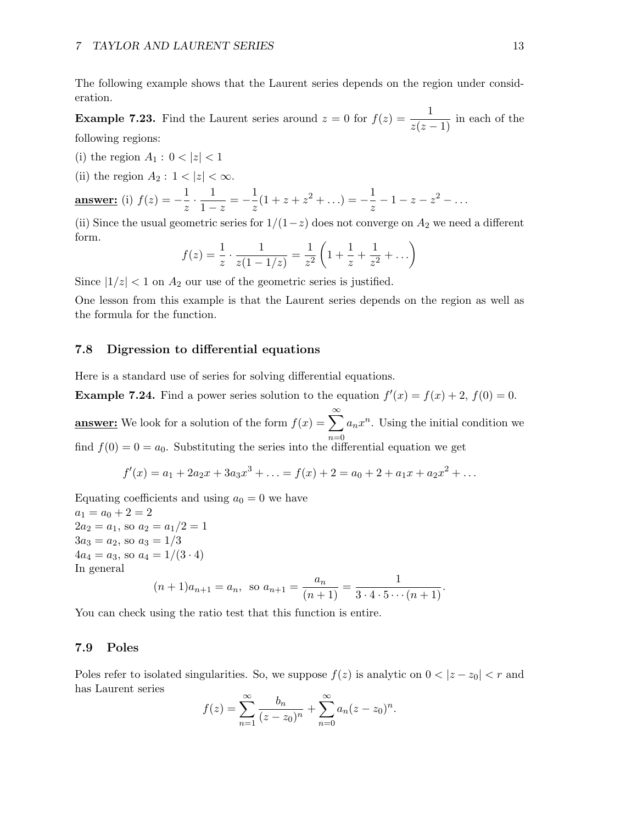The following example shows that the Laurent series depends on the region under consideration.

**Example 7.23.** Find the Laurent series around  $z = 0$  for  $f(z) = \frac{1}{z(z-1)}$  in each of the following regions:

- (i) the region  $A_1: 0 < |z| < 1$
- (ii) the region  $A_2: 1 < |z| < \infty$ .

**answer:** (i) 
$$
f(z) = -\frac{1}{z} \cdot \frac{1}{1-z} = -\frac{1}{z}(1+z+z^2+\ldots) = -\frac{1}{z} - 1 - z - z^2 - \ldots
$$

(ii) Since the usual geometric series for  $1/(1-z)$  does not converge on  $A_2$  we need a different form.

$$
f(z) = \frac{1}{z} \cdot \frac{1}{z(1 - 1/z)} = \frac{1}{z^2} \left( 1 + \frac{1}{z} + \frac{1}{z^2} + \dots \right)
$$

Since  $|1/z| < 1$  on  $A_2$  our use of the geometric series is justified.

One lesson from this example is that the Laurent series depends on the region as well as the formula for the function.

## 7.8 Digression to differential equations

Here is a standard use of series for solving differential equations.

**Example 7.24.** Find a power series solution to the equation  $f'(x) = f(x) + 2$ ,  $f(0) = 0$ .

**answer:** We look for a solution of the form  $f(x) = \sum_{n=1}^{\infty} a_n x^n$ . Using the initial condition we find  $f(0) = 0 = a_0$ . Substituting the series into the differential equation we get

$$
f'(x) = a_1 + 2a_2x + 3a_3x^3 + \dots = f(x) + 2 = a_0 + 2 + a_1x + a_2x^2 + \dots
$$

Equating coefficients and using  $a_0 = 0$  we have  $a_1 = a_0 + 2 = 2$  $2a_2 = a_1$ , so  $a_2 = a_1/2 = 1$  $3a_3 = a_2$ , so  $a_3 = 1/3$  $4a_4 = a_3$ , so  $a_4 = 1/(3 \cdot 4)$ In general  $(n+1)a_{n+1} = a_n$ , so  $a_{n+1} = \frac{a_n}{(n+1)} = \frac{1}{3 \cdot 4 \cdot 5 \cdots (n+1)}$ .

You can check using the ratio test that this function is entire.

#### 7.9 Poles

Poles refer to isolated singularities. So, we suppose  $f(z)$  is analytic on  $0 < |z - z_0| < r$  and has Laurent series

$$
f(z) = \sum_{n=1}^{\infty} \frac{b_n}{(z - z_0)^n} + \sum_{n=0}^{\infty} a_n (z - z_0)^n.
$$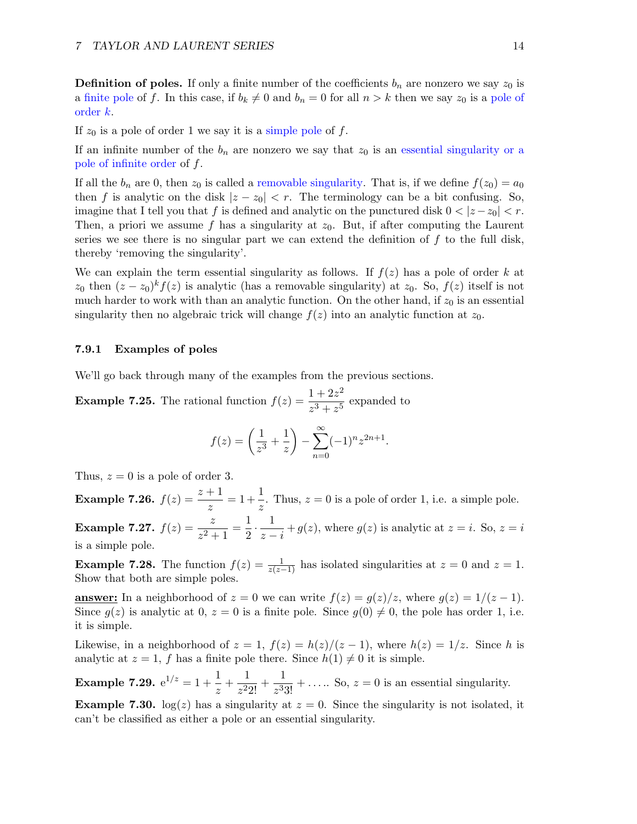**Definition of poles.** If only a finite number of the coefficients  $b_n$  are nonzero we say  $z_0$  is a finite pole of f. In this case, if  $b_k \neq 0$  and  $b_n = 0$  for all  $n > k$  then we say  $z_0$  is a pole of order k.

If  $z_0$  is a pole of order 1 we say it is a simple pole of f.

If an infinite number of the  $b_n$  are nonzero we say that  $z_0$  is an essential singularity or a pole of infinite order of f.

If all the  $b_n$  are 0, then  $z_0$  is called a removable singularity. That is, if we define  $f(z_0) = a_0$ then f is analytic on the disk  $|z - z_0| < r$ . The terminology can be a bit confusing. So, imagine that I tell you that f is defined and analytic on the punctured disk  $0 < |z - z_0| < r$ . Then, a priori we assume f has a singularity at  $z_0$ . But, if after computing the Laurent series we see there is no singular part we can extend the definition of  $f$  to the full disk, thereby 'removing the singularity'.

We can explain the term essential singularity as follows. If  $f(z)$  has a pole of order k at  $z_0$  then  $(z - z_0)^k f(z)$  is analytic (has a removable singularity) at  $z_0$ . So,  $f(z)$  itself is not much harder to work with than an analytic function. On the other hand, if  $z_0$  is an essential singularity then no algebraic trick will change  $f(z)$  into an analytic function at  $z_0$ .

## 7.9.1 Examples of poles

We'll go back through many of the examples from the previous sections.

**Example 7.25.** The rational function  $f(z) = \frac{1 + 2z^2}{z}$  $\frac{z^3 + z^5}{z^3 + z^5}$  expanded to

$$
f(z) = \left(\frac{1}{z^3} + \frac{1}{z}\right) - \sum_{n=0}^{\infty} (-1)^n z^{2n+1}.
$$

Thus,  $z = 0$  is a pole of order 3.

**Example 7.26.**  $f(z) = \frac{z+1}{z} = 1 + \frac{1}{z}$  $\frac{1}{z}$ . Thus,  $z = 0$  is a pole of order 1, i.e. a simple pole. **Example 7.27.**  $f(z) = \frac{z}{z^2 + 1} = \frac{1}{2}$  $rac{1}{2} \cdot \frac{1}{z-1}$  $\frac{1}{z-i} + g(z)$ , where  $g(z)$  is analytic at  $z = i$ . So,  $z = i$ is a simple pole.

**Example 7.28.** The function  $f(z) = \frac{1}{z(z-1)}$  has isolated singularities at  $z = 0$  and  $z = 1$ . Show that both are simple poles.

**answer:** In a neighborhood of  $z = 0$  we can write  $f(z) = g(z)/z$ , where  $g(z) = 1/(z - 1)$ . Since  $g(z)$  is analytic at 0,  $z = 0$  is a finite pole. Since  $g(0) \neq 0$ , the pole has order 1, i.e. it is simple.

Likewise, in a neighborhood of  $z = 1$ ,  $f(z) = h(z)/(z - 1)$ , where  $h(z) = 1/z$ . Since h is analytic at  $z = 1$ , f has a finite pole there. Since  $h(1) \neq 0$  it is simple.

Example 7.29.  $\mathrm{e}^{1/z} = 1 + \frac{1}{z}$  $\frac{1}{z} + \frac{1}{z^2}$  $\frac{1}{z^2 2!} + \frac{1}{z^3}$  $\frac{1}{z^3 3!} + \ldots$  So,  $z = 0$  is an essential singularity.

**Example 7.30.**  $log(z)$  has a singularity at  $z = 0$ . Since the singularity is not isolated, it can't be classified as either a pole or an essential singularity.